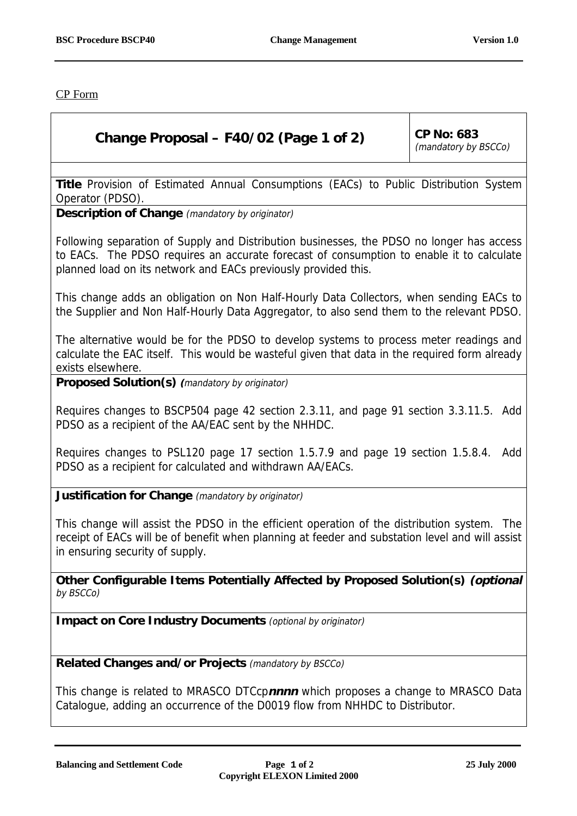CP Form

## **Change Proposal – F40/02 (Page 1 of 2)**  $\vert$  CP No: 683

(mandatory by BSCCo)

**Title** Provision of Estimated Annual Consumptions (EACs) to Public Distribution System Operator (PDSO).

**Description of Change** (mandatory by originator)

Following separation of Supply and Distribution businesses, the PDSO no longer has access to EACs. The PDSO requires an accurate forecast of consumption to enable it to calculate planned load on its network and EACs previously provided this.

This change adds an obligation on Non Half-Hourly Data Collectors, when sending EACs to the Supplier and Non Half-Hourly Data Aggregator, to also send them to the relevant PDSO.

The alternative would be for the PDSO to develop systems to process meter readings and calculate the EAC itself. This would be wasteful given that data in the required form already exists elsewhere.

**Proposed Solution(s) (**mandatory by originator)

Requires changes to BSCP504 page 42 section 2.3.11, and page 91 section 3.3.11.5. Add PDSO as a recipient of the AA/EAC sent by the NHHDC.

Requires changes to PSL120 page 17 section 1.5.7.9 and page 19 section 1.5.8.4. Add PDSO as a recipient for calculated and withdrawn AA/EACs.

**Justification for Change** (mandatory by originator)

This change will assist the PDSO in the efficient operation of the distribution system. The receipt of EACs will be of benefit when planning at feeder and substation level and will assist in ensuring security of supply.

**Other Configurable Items Potentially Affected by Proposed Solution(s) (optional** by BSCCo)

**Impact on Core Industry Documents** (optional by originator)

**Related Changes and/or Projects** (mandatory by BSCCo)

This change is related to MRASCO DTCcp**nnnn** which proposes a change to MRASCO Data Catalogue, adding an occurrence of the D0019 flow from NHHDC to Distributor.

**Balancing and Settlement Code Page 1 of 2 25 July 2000**